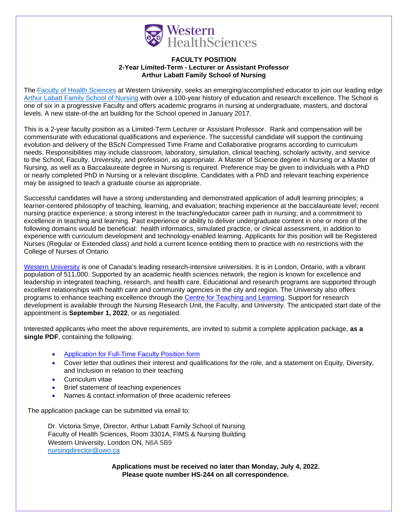

## **FACULTY POSITION 2-Year Limited-Term - Lecturer or Assistant Professor Arthur Labatt Family School of Nursing**

The [Faculty of Health Sciences](https://www.uwo.ca/fhs/) at Western University, seeks an emerging/accomplished educator to join our leading edge [Arthur Labatt Family School of Nursing](https://www.uwo.ca/fhs/nursing/) with over a 100-year history of education and research excellence. The School is one of six in a progressive Faculty and offers academic programs in nursing at undergraduate, masters, and doctoral levels. A new state-of-the art building for the School opened in January 2017.

This is a 2-year faculty position as a Limited-Term Lecturer or Assistant Professor. Rank and compensation will be commensurate with educational qualifications and experience. The successful candidate will support the continuing evolution and delivery of the BScN Compressed Time Frame and Collaborative programs according to curriculum needs. Responsibilities may include classroom, laboratory, simulation, clinical teaching, scholarly activity, and service to the School, Faculty, University, and profession, as appropriate. A Master of Science degree in Nursing or a Master of Nursing, as well as a Baccalaureate degree in Nursing is required. Preference may be given to individuals with a PhD or nearly completed PhD in Nursing or a relevant discipline. Candidates with a PhD and relevant teaching experience may be assigned to teach a graduate course as appropriate.

Successful candidates will have a strong understanding and demonstrated application of adult learning principles; a learner-centered philosophy of teaching, learning, and evaluation; teaching experience at the baccalaureate level; recent nursing practice experience; a strong interest in the teaching/educator career path in nursing; and a commitment to excellence in teaching and learning. Past experience or ability to deliver undergraduate content in one or more of the following domains would be beneficial: health informatics, simulated practice, or clinical assessment, in addition to experience with curriculum development and technology-enabled learning. Applicants for this position will be Registered Nurses (Regular or Extended class) and hold a current licence entitling them to practice with no restrictions with the College of Nurses of Ontario.

[Western University](http://www.uwo.ca/) [is](http://www.uwo.ca/) one of Canada's leading research-intensive universities. It is in London, Ontario, with a vibrant population of 511,000. Supported by an academic health sciences network, the region is known for excellence and leadership in integrated teaching, research, and health care. Educational and research programs are supported through excellent relationships with health care and community agencies in the city and region. The University also offers programs to enhance teaching excellence through the [Centre for Teaching and Learning.](http://www.uwo.ca/tsc/) Support for research development is available through the Nursing Research Unit, the Faculty, and University. The anticipated start date of the appointment is **September 1, 2022**, or as negotiated.

Interested applicants who meet the above requirements, are invited to submit a complete application package, **as a single PDF**, containing the following:

- [Application for Full-Time Faculty Position form](https://www.uwo.ca/facultyrelations/pdf/full-time-application-form.pdf)
- Cover letter that outlines their interest and qualifications for the role, and a statement on Equity, Diversity, and Inclusion in relation to their teaching
- Curriculum vitae
- Brief statement of teaching experiences
- Names & contact information of three academic referees

The application package can be submitted via email to:

Dr. Victoria Smye, Director, Arthur Labatt Family School of Nursing Faculty of Health Sciences, Room 3301A, FIMS & Nursing Building Western University, London ON, N6A 5B9 nursingdirector@uwo.ca

> **Applications must be received no later than Monday, July 4, 2022. Please quote number HS-244 on all correspondence.**